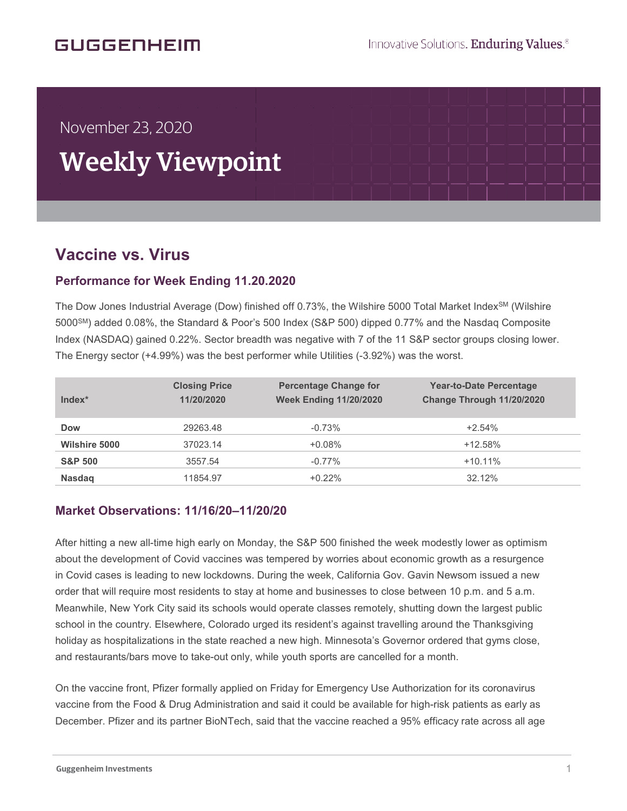## GUGGENHEIM

# November 23, 2020

# Weekly Viewpoint

## **Vaccine vs. Virus**  $\overline{\phantom{a}}$

í

### **Performance for Week Ending 11.20.2020**

The Dow Jones Industrial Average (Dow) finished off 0.73%, the Wilshire 5000 Total Market Index<sup>SM</sup> (Wilshire 5000SM) added 0.08%, the Standard & Poor's 500 Index (S&P 500) dipped 0.77% and the Nasdaq Composite Index (NASDAQ) gained 0.22%. Sector breadth was negative with 7 of the 11 S&P sector groups closing lower. The Energy sector (+4.99%) was the best performer while Utilities (-3.92%) was the worst.

| $Index*$             | <b>Closing Price</b><br>11/20/2020 | <b>Percentage Change for</b><br><b>Week Ending 11/20/2020</b> | <b>Year-to-Date Percentage</b><br>Change Through 11/20/2020 |
|----------------------|------------------------------------|---------------------------------------------------------------|-------------------------------------------------------------|
| <b>Dow</b>           | 29263.48                           | $-0.73%$                                                      | $+2.54%$                                                    |
| <b>Wilshire 5000</b> | 37023.14                           | $+0.08%$                                                      | $+12.58%$                                                   |
| <b>S&amp;P 500</b>   | 3557.54                            | $-0.77%$                                                      | $+10.11%$                                                   |
| <b>Nasdag</b>        | 11854.97                           | $+0.22%$                                                      | 32.12%                                                      |

#### **Market Observations: 11/16/20–11/20/20**

After hitting a new all-time high early on Monday, the S&P 500 finished the week modestly lower as optimism about the development of Covid vaccines was tempered by worries about economic growth as a resurgence in Covid cases is leading to new lockdowns. During the week, California Gov. Gavin Newsom issued a new order that will require most residents to stay at home and businesses to close between 10 p.m. and 5 a.m. Meanwhile, New York City said its schools would operate classes remotely, shutting down the largest public school in the country. Elsewhere, Colorado urged its resident's against travelling around the Thanksgiving holiday as hospitalizations in the state reached a new high. Minnesota's Governor ordered that gyms close, and restaurants/bars move to take-out only, while youth sports are cancelled for a month.

On the vaccine front, Pfizer formally applied on Friday for Emergency Use Authorization for its coronavirus vaccine from the Food & Drug Administration and said it could be available for high-risk patients as early as December. Pfizer and its partner BioNTech, said that the vaccine reached a 95% efficacy rate across all age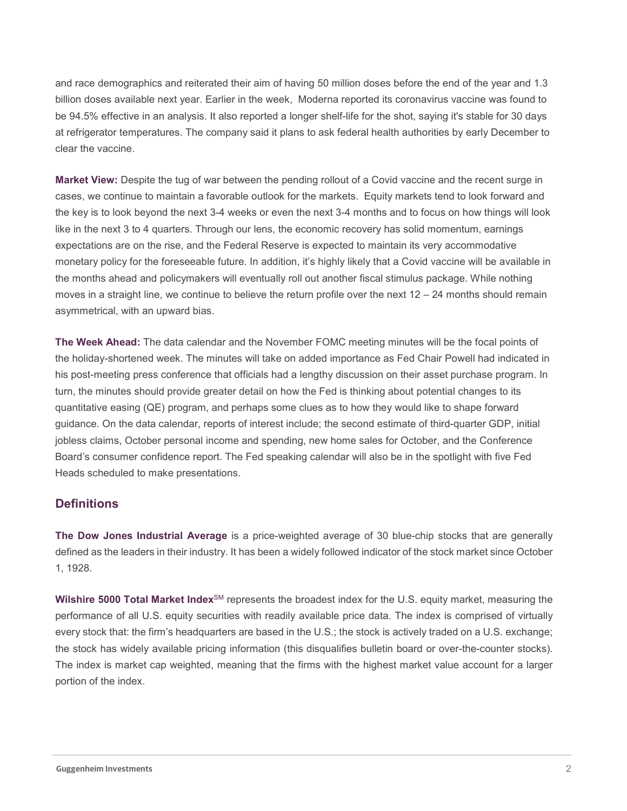and race demographics and reiterated their aim of having 50 million doses before the end of the year and 1.3 billion doses available next year. Earlier in the week, Moderna reported its coronavirus vaccine was found to be 94.5% effective in an analysis. It also reported a longer shelf-life for the shot, saying it's stable for 30 days at refrigerator temperatures. The company said it plans to ask federal health authorities by early December to clear the vaccine.

**Market View:** Despite the tug of war between the pending rollout of a Covid vaccine and the recent surge in cases, we continue to maintain a favorable outlook for the markets. Equity markets tend to look forward and the key is to look beyond the next 3-4 weeks or even the next 3-4 months and to focus on how things will look like in the next 3 to 4 quarters. Through our lens, the economic recovery has solid momentum, earnings expectations are on the rise, and the Federal Reserve is expected to maintain its very accommodative monetary policy for the foreseeable future. In addition, it's highly likely that a Covid vaccine will be available in the months ahead and policymakers will eventually roll out another fiscal stimulus package. While nothing moves in a straight line, we continue to believe the return profile over the next 12 – 24 months should remain asymmetrical, with an upward bias.

**The Week Ahead:** The data calendar and the November FOMC meeting minutes will be the focal points of the holiday-shortened week. The minutes will take on added importance as Fed Chair Powell had indicated in his post-meeting press conference that officials had a lengthy discussion on their asset purchase program. In turn, the minutes should provide greater detail on how the Fed is thinking about potential changes to its quantitative easing (QE) program, and perhaps some clues as to how they would like to shape forward guidance. On the data calendar, reports of interest include; the second estimate of third-quarter GDP, initial jobless claims, October personal income and spending, new home sales for October, and the Conference Board's consumer confidence report. The Fed speaking calendar will also be in the spotlight with five Fed Heads scheduled to make presentations.

#### **Definitions**

**The Dow Jones Industrial Average** is a price-weighted average of 30 blue-chip stocks that are generally defined as the leaders in their industry. It has been a widely followed indicator of the stock market since October 1, 1928.

**Wilshire 5000 Total Market Index**SM represents the broadest index for the U.S. equity market, measuring the performance of all U.S. equity securities with readily available price data. The index is comprised of virtually every stock that: the firm's headquarters are based in the U.S.; the stock is actively traded on a U.S. exchange; the stock has widely available pricing information (this disqualifies bulletin board or over-the-counter stocks). The index is market cap weighted, meaning that the firms with the highest market value account for a larger portion of the index.